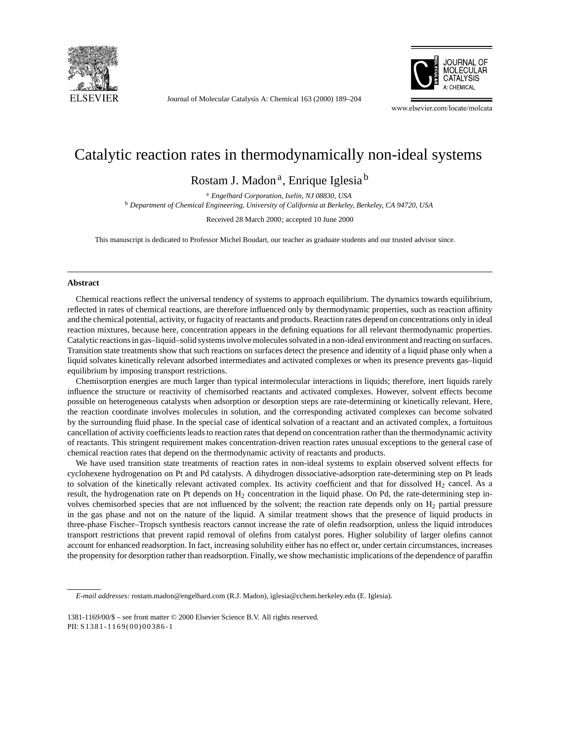

Journal of Molecular Catalysis A: Chemical 163 (2000) 189–204



www.elsevier.com/locate/molcata

# Catalytic reaction rates in thermodynamically non-ideal systems

Rostam J. Madon<sup>a</sup>, Enrique Iglesia<sup>b</sup>

<sup>a</sup> *Engelhard Corporation, Iselin, NJ 08830, USA* <sup>b</sup> *Department of Chemical Engineering, University of California at Berkeley, Berkeley, CA 94720, USA*

Received 28 March 2000; accepted 10 June 2000

This manuscript is dedicated to Professor Michel Boudart, our teacher as graduate students and our trusted advisor since.

#### **Abstract**

Chemical reactions reflect the universal tendency of systems to approach equilibrium. The dynamics towards equilibrium, reflected in rates of chemical reactions, are therefore influenced only by thermodynamic properties, such as reaction affinity and the chemical potential, activity, or fugacity of reactants and products. Reaction rates depend on concentrations only in ideal reaction mixtures, because here, concentration appears in the defining equations for all relevant thermodynamic properties. Catalytic reactions in gas–liquid–solid systems involve molecules solvated in a non-ideal environment and reacting on surfaces. Transition state treatments show that such reactions on surfaces detect the presence and identity of a liquid phase only when a liquid solvates kinetically relevant adsorbed intermediates and activated complexes or when its presence prevents gas–liquid equilibrium by imposing transport restrictions.

Chemisorption energies are much larger than typical intermolecular interactions in liquids; therefore, inert liquids rarely influence the structure or reactivity of chemisorbed reactants and activated complexes. However, solvent effects become possible on heterogeneous catalysts when adsorption or desorption steps are rate-determining or kinetically relevant. Here, the reaction coordinate involves molecules in solution, and the corresponding activated complexes can become solvated by the surrounding fluid phase. In the special case of identical solvation of a reactant and an activated complex, a fortuitous cancellation of activity coefficients leads to reaction rates that depend on concentration rather than the thermodynamic activity of reactants. This stringent requirement makes concentration-driven reaction rates unusual exceptions to the general case of chemical reaction rates that depend on the thermodynamic activity of reactants and products.

We have used transition state treatments of reaction rates in non-ideal systems to explain observed solvent effects for cyclohexene hydrogenation on Pt and Pd catalysts. A dihydrogen dissociative-adsorption rate-determining step on Pt leads to solvation of the kinetically relevant activated complex. Its activity coefficient and that for dissolved  $H_2$  cancel. As a result, the hydrogenation rate on Pt depends on  $H_2$  concentration in the liquid phase. On Pd, the rate-determining step involves chemisorbed species that are not influenced by the solvent; the reaction rate depends only on  $H_2$  partial pressure in the gas phase and not on the nature of the liquid. A similar treatment shows that the presence of liquid products in three-phase Fischer–Tropsch synthesis reactors cannot increase the rate of olefin readsorption, unless the liquid introduces transport restrictions that prevent rapid removal of olefins from catalyst pores. Higher solubility of larger olefins cannot account for enhanced readsorption. In fact, increasing solubility either has no effect or, under certain circumstances, increases the propensity for desorption rather than readsorption. Finally, we show mechanistic implications of the dependence of paraffin

*E-mail addresses:* rostam.madon@engelhard.com (R.J. Madon), iglesia@cchem.berkeley.edu (E. Iglesia).

<sup>1381-1169/00/\$ –</sup> see front matter © 2000 Elsevier Science B.V. All rights reserved. PII: S1381-1169(00)00386-1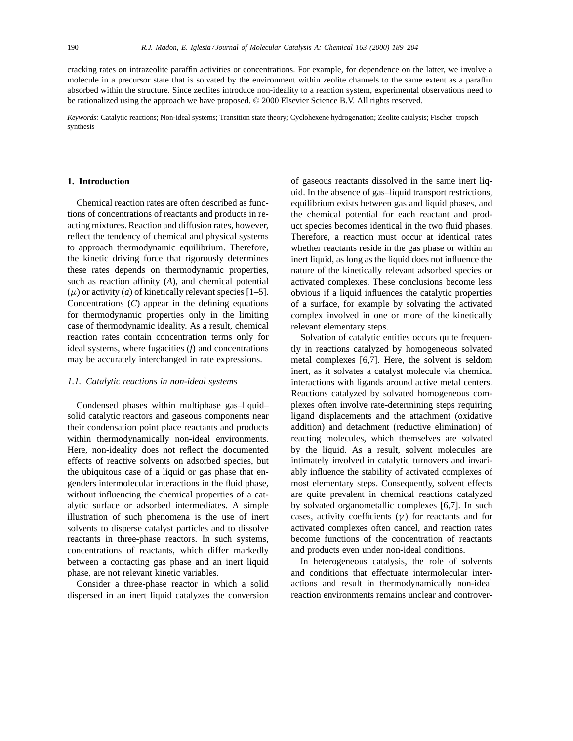cracking rates on intrazeolite paraffin activities or concentrations. For example, for dependence on the latter, we involve a molecule in a precursor state that is solvated by the environment within zeolite channels to the same extent as a paraffin absorbed within the structure. Since zeolites introduce non-ideality to a reaction system, experimental observations need to be rationalized using the approach we have proposed. © 2000 Elsevier Science B.V. All rights reserved.

*Keywords:* Catalytic reactions; Non-ideal systems; Transition state theory; Cyclohexene hydrogenation; Zeolite catalysis; Fischer–tropsch synthesis

### **1. Introduction**

Chemical reaction rates are often described as functions of concentrations of reactants and products in reacting mixtures. Reaction and diffusion rates, however, reflect the tendency of chemical and physical systems to approach thermodynamic equilibrium. Therefore, the kinetic driving force that rigorously determines these rates depends on thermodynamic properties, such as reaction affinity (*A*), and chemical potential  $(\mu)$  or activity (*a*) of kinetically relevant species [1–5]. Concentrations (*C*) appear in the defining equations for thermodynamic properties only in the limiting case of thermodynamic ideality. As a result, chemical reaction rates contain concentration terms only for ideal systems, where fugacities (*f*) and concentrations may be accurately interchanged in rate expressions.

#### *1.1. Catalytic reactions in non-ideal systems*

Condensed phases within multiphase gas–liquid– solid catalytic reactors and gaseous components near their condensation point place reactants and products within thermodynamically non-ideal environments. Here, non-ideality does not reflect the documented effects of reactive solvents on adsorbed species, but the ubiquitous case of a liquid or gas phase that engenders intermolecular interactions in the fluid phase, without influencing the chemical properties of a catalytic surface or adsorbed intermediates. A simple illustration of such phenomena is the use of inert solvents to disperse catalyst particles and to dissolve reactants in three-phase reactors. In such systems, concentrations of reactants, which differ markedly between a contacting gas phase and an inert liquid phase, are not relevant kinetic variables.

Consider a three-phase reactor in which a solid dispersed in an inert liquid catalyzes the conversion of gaseous reactants dissolved in the same inert liquid. In the absence of gas–liquid transport restrictions, equilibrium exists between gas and liquid phases, and the chemical potential for each reactant and product species becomes identical in the two fluid phases. Therefore, a reaction must occur at identical rates whether reactants reside in the gas phase or within an inert liquid, as long as the liquid does not influence the nature of the kinetically relevant adsorbed species or activated complexes. These conclusions become less obvious if a liquid influences the catalytic properties of a surface, for example by solvating the activated complex involved in one or more of the kinetically relevant elementary steps.

Solvation of catalytic entities occurs quite frequently in reactions catalyzed by homogeneous solvated metal complexes [6,7]. Here, the solvent is seldom inert, as it solvates a catalyst molecule via chemical interactions with ligands around active metal centers. Reactions catalyzed by solvated homogeneous complexes often involve rate-determining steps requiring ligand displacements and the attachment (oxidative addition) and detachment (reductive elimination) of reacting molecules, which themselves are solvated by the liquid. As a result, solvent molecules are intimately involved in catalytic turnovers and invariably influence the stability of activated complexes of most elementary steps. Consequently, solvent effects are quite prevalent in chemical reactions catalyzed by solvated organometallic complexes [6,7]. In such cases, activity coefficients ( $\gamma$ ) for reactants and for activated complexes often cancel, and reaction rates become functions of the concentration of reactants and products even under non-ideal conditions.

In heterogeneous catalysis, the role of solvents and conditions that effectuate intermolecular interactions and result in thermodynamically non-ideal reaction environments remains unclear and controver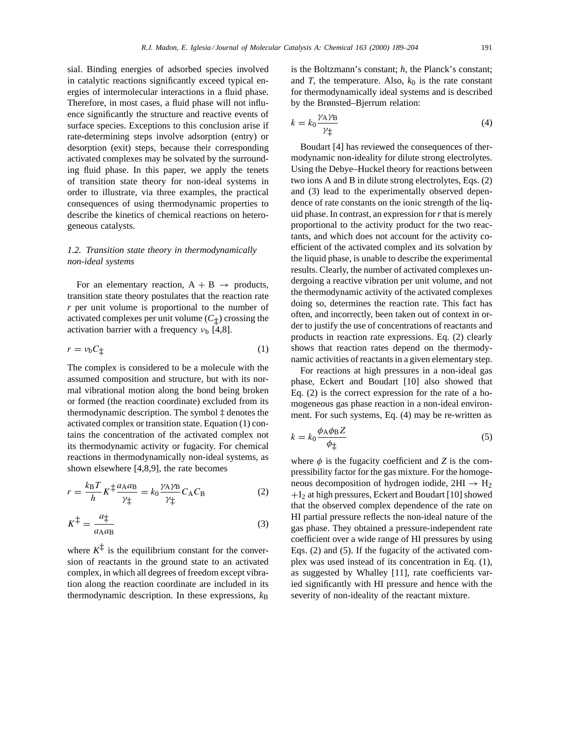sial. Binding energies of adsorbed species involved in catalytic reactions significantly exceed typical energies of intermolecular interactions in a fluid phase. Therefore, in most cases, a fluid phase will not influence significantly the structure and reactive events of surface species. Exceptions to this conclusion arise if rate-determining steps involve adsorption (entry) or desorption (exit) steps, because their corresponding activated complexes may be solvated by the surrounding fluid phase. In this paper, we apply the tenets of transition state theory for non-ideal systems in order to illustrate, via three examples, the practical consequences of using thermodynamic properties to describe the kinetics of chemical reactions on heterogeneous catalysts.

## *1.2. Transition state theory in thermodynamically non-ideal systems*

For an elementary reaction,  $A + B \rightarrow$  products, transition state theory postulates that the reaction rate *r* per unit volume is proportional to the number of activated complexes per unit volume  $(C<sub>1</sub>)$  crossing the activation barrier with a frequency  $v_b$  [4,8].

$$
r = v_{\rm b} C_{\frac{1}{4}} \tag{1}
$$

The complex is considered to be a molecule with the assumed composition and structure, but with its normal vibrational motion along the bond being broken or formed (the reaction coordinate) excluded from its thermodynamic description. The symbol ‡ denotes the activated complex or transition state. Equation (1) contains the concentration of the activated complex not its thermodynamic activity or fugacity. For chemical reactions in thermodynamically non-ideal systems, as shown elsewhere [4,8,9], the rate becomes

$$
r = \frac{k_{\rm B}T}{h} K^{\frac{4}{\nu}} \frac{a_{\rm A}a_{\rm B}}{\gamma_{\rm T}^*} = k_0 \frac{\gamma_{\rm A} \gamma_{\rm B}}{\gamma_{\rm T}^*} C_{\rm A} C_{\rm B} \tag{2}
$$

$$
K^{\frac{+}{+}} = \frac{a_{\frac{+}{+}}}{a_{\text{A}}a_{\text{B}}}
$$
 (3)

where  $K^{\ddagger}$  is the equilibrium constant for the conversion of reactants in the ground state to an activated complex, in which all degrees of freedom except vibration along the reaction coordinate are included in its thermodynamic description. In these expressions,  $k_B$  is the Boltzmann's constant; *h*, the Planck's constant; and *T*, the temperature. Also,  $k_0$  is the rate constant for thermodynamically ideal systems and is described by the Brønsted–Bjerrum relation:

$$
k = k_0 \frac{\gamma_A \gamma_B}{\gamma_{\ddagger}} \tag{4}
$$

Boudart [4] has reviewed the consequences of thermodynamic non-ideality for dilute strong electrolytes. Using the Debye–Huckel theory for reactions between two ions A and B in dilute strong electrolytes, Eqs. (2) and (3) lead to the experimentally observed dependence of rate constants on the ionic strength of the liquid phase. In contrast, an expression for*r*that is merely proportional to the activity product for the two reactants, and which does not account for the activity coefficient of the activated complex and its solvation by the liquid phase, is unable to describe the experimental results. Clearly, the number of activated complexes undergoing a reactive vibration per unit volume, and not the thermodynamic activity of the activated complexes doing so, determines the reaction rate. This fact has often, and incorrectly, been taken out of context in order to justify the use of concentrations of reactants and products in reaction rate expressions. Eq. (2) clearly shows that reaction rates depend on the thermodynamic activities of reactants in a given elementary step.

For reactions at high pressures in a non-ideal gas phase, Eckert and Boudart [10] also showed that Eq. (2) is the correct expression for the rate of a homogeneous gas phase reaction in a non-ideal environment. For such systems, Eq. (4) may be re-written as

$$
k = k_0 \frac{\phi_A \phi_B Z}{\phi_{\frac{1}{k}}}
$$
 (5)

where  $\phi$  is the fugacity coefficient and *Z* is the compressibility factor for the gas mixture. For the homogeneous decomposition of hydrogen iodide,  $2HI \rightarrow H_2$  $+I<sub>2</sub>$  at high pressures, Eckert and Boudart [10] showed that the observed complex dependence of the rate on HI partial pressure reflects the non-ideal nature of the gas phase. They obtained a pressure-independent rate coefficient over a wide range of HI pressures by using Eqs. (2) and (5). If the fugacity of the activated complex was used instead of its concentration in Eq. (1), as suggested by Whalley [11], rate coefficients varied significantly with HI pressure and hence with the severity of non-ideality of the reactant mixture.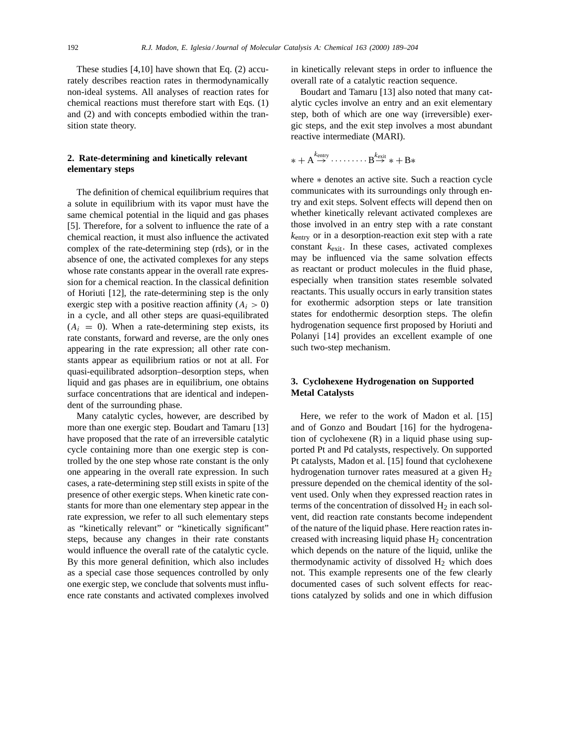These studies [4,10] have shown that Eq. (2) accurately describes reaction rates in thermodynamically non-ideal systems. All analyses of reaction rates for chemical reactions must therefore start with Eqs. (1) and (2) and with concepts embodied within the transition state theory.

## **2. Rate-determining and kinetically relevant elementary steps**

The definition of chemical equilibrium requires that a solute in equilibrium with its vapor must have the same chemical potential in the liquid and gas phases [5]. Therefore, for a solvent to influence the rate of a chemical reaction, it must also influence the activated complex of the rate-determining step (rds), or in the absence of one, the activated complexes for any steps whose rate constants appear in the overall rate expression for a chemical reaction. In the classical definition of Horiuti [12], the rate-determining step is the only exergic step with a positive reaction affinity  $(A<sub>i</sub> > 0)$ in a cycle, and all other steps are quasi-equilibrated  $(A<sub>i</sub> = 0)$ . When a rate-determining step exists, its rate constants, forward and reverse, are the only ones appearing in the rate expression; all other rate constants appear as equilibrium ratios or not at all. For quasi-equilibrated adsorption–desorption steps, when liquid and gas phases are in equilibrium, one obtains surface concentrations that are identical and independent of the surrounding phase.

Many catalytic cycles, however, are described by more than one exergic step. Boudart and Tamaru [13] have proposed that the rate of an irreversible catalytic cycle containing more than one exergic step is controlled by the one step whose rate constant is the only one appearing in the overall rate expression. In such cases, a rate-determining step still exists in spite of the presence of other exergic steps. When kinetic rate constants for more than one elementary step appear in the rate expression, we refer to all such elementary steps as "kinetically relevant" or "kinetically significant" steps, because any changes in their rate constants would influence the overall rate of the catalytic cycle. By this more general definition, which also includes as a special case those sequences controlled by only one exergic step, we conclude that solvents must influence rate constants and activated complexes involved in kinetically relevant steps in order to influence the overall rate of a catalytic reaction sequence.

Boudart and Tamaru [13] also noted that many catalytic cycles involve an entry and an exit elementary step, both of which are one way (irreversible) exergic steps, and the exit step involves a most abundant reactive intermediate (MARI).

$$
* + A \xrightarrow{k_{entry}} \cdots \cdots \cdots B \xrightarrow{k_{exit}} * + B*
$$

where ∗ denotes an active site. Such a reaction cycle communicates with its surroundings only through entry and exit steps. Solvent effects will depend then on whether kinetically relevant activated complexes are those involved in an entry step with a rate constant *k*entry or in a desorption-reaction exit step with a rate constant *k*exit. In these cases, activated complexes may be influenced via the same solvation effects as reactant or product molecules in the fluid phase, especially when transition states resemble solvated reactants. This usually occurs in early transition states for exothermic adsorption steps or late transition states for endothermic desorption steps. The olefin hydrogenation sequence first proposed by Horiuti and Polanyi [14] provides an excellent example of one such two-step mechanism.

## **3. Cyclohexene Hydrogenation on Supported Metal Catalysts**

Here, we refer to the work of Madon et al. [15] and of Gonzo and Boudart [16] for the hydrogenation of cyclohexene (R) in a liquid phase using supported Pt and Pd catalysts, respectively. On supported Pt catalysts, Madon et al. [15] found that cyclohexene hydrogenation turnover rates measured at a given H2 pressure depended on the chemical identity of the solvent used. Only when they expressed reaction rates in terms of the concentration of dissolved  $H_2$  in each solvent, did reaction rate constants become independent of the nature of the liquid phase. Here reaction rates increased with increasing liquid phase  $H_2$  concentration which depends on the nature of the liquid, unlike the thermodynamic activity of dissolved  $H_2$  which does not. This example represents one of the few clearly documented cases of such solvent effects for reactions catalyzed by solids and one in which diffusion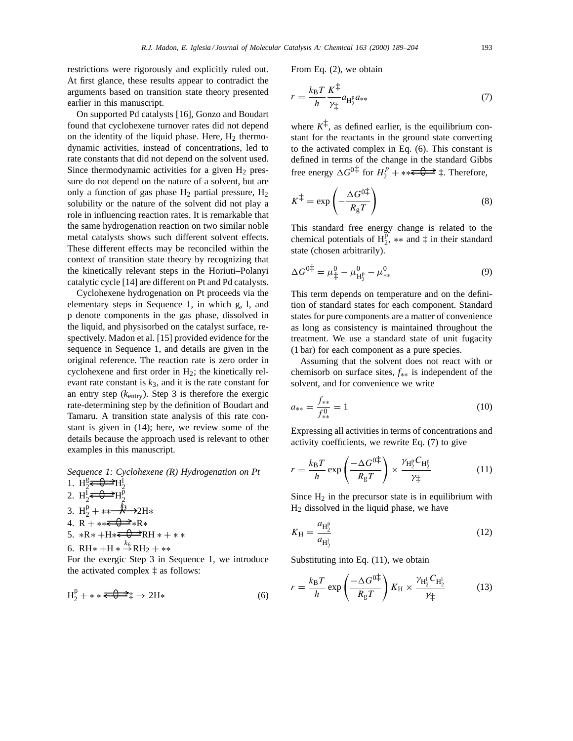restrictions were rigorously and explicitly ruled out. At first glance, these results appear to contradict the arguments based on transition state theory presented earlier in this manuscript.

On supported Pd catalysts [16], Gonzo and Boudart found that cyclohexene turnover rates did not depend on the identity of the liquid phase. Here,  $H_2$  thermodynamic activities, instead of concentrations, led to rate constants that did not depend on the solvent used. Since thermodynamic activities for a given  $H_2$  pressure do not depend on the nature of a solvent, but are only a function of gas phase  $H_2$  partial pressure,  $H_2$ solubility or the nature of the solvent did not play a role in influencing reaction rates. It is remarkable that the same hydrogenation reaction on two similar noble metal catalysts shows such different solvent effects. These different effects may be reconciled within the context of transition state theory by recognizing that the kinetically relevant steps in the Horiuti–Polanyi catalytic cycle [14] are different on Pt and Pd catalysts.

Cyclohexene hydrogenation on Pt proceeds via the elementary steps in Sequence 1, in which g, l, and p denote components in the gas phase, dissolved in the liquid, and physisorbed on the catalyst surface, respectively. Madon et al. [15] provided evidence for the sequence in Sequence 1, and details are given in the original reference. The reaction rate is zero order in cyclohexene and first order in H2; the kinetically relevant rate constant is *k*3, and it is the rate constant for an entry step  $(k_{\text{entry}})$ . Step 3 is therefore the exergic rate-determining step by the definition of Boudart and Tamaru. A transition state analysis of this rate constant is given in (14); here, we review some of the details because the approach used is relevant to other examples in this manuscript.

*Sequence 1: Cyclohexene (R) Hydrogenation on Pt* 1.  $H_2^g \rightleftharpoons H_2^h$ 

- 2.  $H_2^{\overline{1}} \leftarrow \rightarrow H_2^{\overline{p}}$
- 
- 3.  $H_2^p$  + \*\*  $\xrightarrow{k_3}$  > 2H\*
- 4.  $R + \ast \leftarrow \bigoplus \ast R \ast$
- 5.  $*R* + H* \leftarrow \bigoplus RH* + **$
- 6. RH\* +H \*  $\rightarrow$  RH<sub>2</sub> + \*\*

For the exergic Step 3 in Sequence 1, we introduce the activated complex ‡ as follows:

$$
H_2^p + * * \overline{\leftarrow} \overline{\bigoplus} \overline{\rightarrow} \overline{\downarrow} \rightarrow 2H* \tag{6}
$$

From Eq. (2), we obtain

$$
r = \frac{k_{\rm B}T}{h} \frac{K^{\frac{4}{4}}}{\gamma_{\frac{1}{4}}} a_{\rm H_2^{\rm P}} a_{**} \tag{7}
$$

where  $K^{\ddagger}$ , as defined earlier, is the equilibrium constant for the reactants in the ground state converting to the activated complex in Eq. (6). This constant is defined in terms of the change in the standard Gibbs free energy  $\Delta G^{0\ddagger}$  for  $H_2^p$  + \*\*<del>\* 0<sup>2</sup></del>  $\ddagger$ . Therefore,

$$
K^{\frac{+}{+}} = \exp\left(-\frac{\Delta G^{0\frac{+}{+}}}{R_{g}T}\right) \tag{8}
$$

This standard free energy change is related to the chemical potentials of  $H_2^p$ , \*\* and  $\ddagger$  in their standard state (chosen arbitrarily).

$$
\Delta G^{0\ddagger} = \mu_{\ddagger}^0 - \mu_{\text{H}_2^0}^0 - \mu_{**}^0 \tag{9}
$$

This term depends on temperature and on the definition of standard states for each component. Standard states for pure components are a matter of convenience as long as consistency is maintained throughout the treatment. We use a standard state of unit fugacity (1 bar) for each component as a pure species.

Assuming that the solvent does not react with or chemisorb on surface sites, *f*∗∗ is independent of the solvent, and for convenience we write

$$
a_{**} = \frac{f_{**}}{f_{**}^0} = 1\tag{10}
$$

Expressing all activities in terms of concentrations and activity coefficients, we rewrite Eq. (7) to give

$$
r = \frac{k_{\rm B}T}{h} \exp\left(\frac{-\Delta G^{0\frac{4}{4}}}{R_{\rm g}T}\right) \times \frac{\gamma_{\rm H_2^p} C_{\rm H_2^p}}{\gamma_{\frac{4}{4}}} \tag{11}
$$

Since  $H_2$  in the precursor state is in equilibrium with H2 dissolved in the liquid phase, we have

$$
K_{\rm H} = \frac{a_{\rm H_2^p}}{a_{\rm H_2^l}} \tag{12}
$$

Substituting into Eq. (11), we obtain

$$
r = \frac{k_{\rm B}T}{h} \exp\left(\frac{-\Delta G^{0\frac{+}{4}}}{R_{\rm g}T}\right) K_{\rm H} \times \frac{\gamma_{\rm H_2^1} C_{\rm H_2^1}}{\gamma_{\frac{+}{4}}} \tag{13}
$$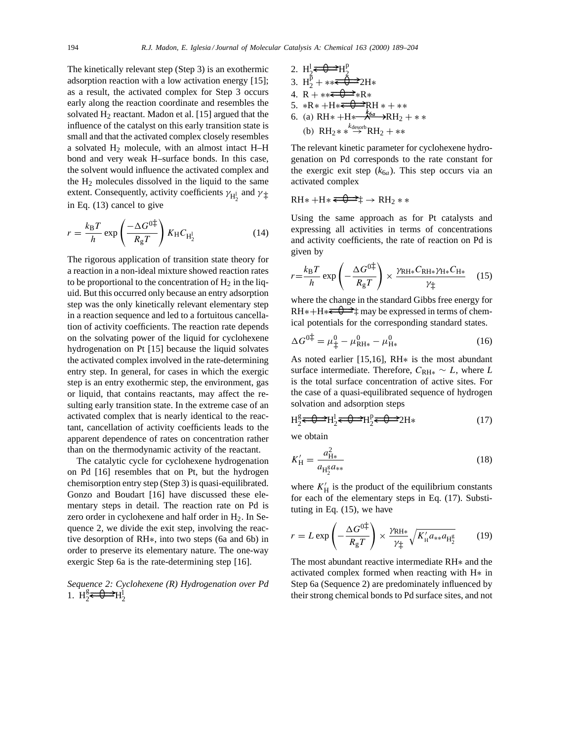The kinetically relevant step (Step 3) is an exothermic adsorption reaction with a low activation energy [15]; as a result, the activated complex for Step 3 occurs early along the reaction coordinate and resembles the solvated  $H_2$  reactant. Madon et al. [15] argued that the influence of the catalyst on this early transition state is small and that the activated complex closely resembles a solvated H2 molecule, with an almost intact H–H bond and very weak H–surface bonds. In this case, the solvent would influence the activated complex and the  $H_2$  molecules dissolved in the liquid to the same extent. Consequently, activity coefficients  $\gamma_{H_2^l}$  and  $\gamma_{\ddagger}$ in Eq. (13) cancel to give

$$
r = \frac{k_{\rm B}T}{h} \exp\left(\frac{-\Delta G^{0\ddagger}_{\star}}{R_{\rm g}T}\right) K_{\rm H} C_{\rm H_2^1}
$$
(14)

The rigorous application of transition state theory for a reaction in a non-ideal mixture showed reaction rates to be proportional to the concentration of  $H_2$  in the liquid. But this occurred only because an entry adsorption step was the only kinetically relevant elementary step in a reaction sequence and led to a fortuitous cancellation of activity coefficients. The reaction rate depends on the solvating power of the liquid for cyclohexene hydrogenation on Pt [15] because the liquid solvates the activated complex involved in the rate-determining entry step. In general, for cases in which the exergic step is an entry exothermic step, the environment, gas or liquid, that contains reactants, may affect the resulting early transition state. In the extreme case of an activated complex that is nearly identical to the reactant, cancellation of activity coefficients leads to the apparent dependence of rates on concentration rather than on the thermodynamic activity of the reactant.

The catalytic cycle for cyclohexene hydrogenation on Pd [16] resembles that on Pt, but the hydrogen chemisorption entry step (Step 3) is quasi-equilibrated. Gonzo and Boudart [16] have discussed these elementary steps in detail. The reaction rate on Pd is zero order in cyclohexene and half order in  $H_2$ . In Sequence 2, we divide the exit step, involving the reactive desorption of RH∗, into two steps (6a and 6b) in order to preserve its elementary nature. The one-way exergic Step 6a is the rate-determining step [16].

*Sequence 2: Cyclohexene (R) Hydrogenation over Pd* 1.  $H_2^g \rightleftharpoons H_2^h$ 

2. 
$$
H_2^1 \xleftarrow{\bigoplus} H_2^p
$$
  
\n3.  $H_2^p + *\xleftarrow{\bigoplus} 2H*$   
\n4.  $R + *\xleftarrow{\bigoplus} 2H*$   
\n5.  $*R* + H*\xleftarrow{\bigoplus} 2*RH * + *\n6. (a) RH* + H*\xleftarrow{\&a} 2RH + *\n(b) RH_2 * *\xrightarrow{k \text{desorb}} RH_2 + *$ 

The relevant kinetic parameter for cyclohexene hydrogenation on Pd corresponds to the rate constant for the exergic exit step  $(k_{6a})$ . This step occurs via an activated complex

$$
RH* + H* \Longleftrightarrow H_2**
$$

Using the same approach as for Pt catalysts and expressing all activities in terms of concentrations and activity coefficients, the rate of reaction on Pd is given by

$$
r = \frac{k_{\rm B}T}{h} \exp\left(-\frac{\Delta G^{0\ddagger}}{R_{\rm g}T}\right) \times \frac{\gamma_{\rm RH*} C_{\rm RH*} \gamma_{\rm H*} C_{\rm H*}}{\gamma_{\ddagger}} \quad (15)
$$

where the change in the standard Gibbs free energy for RH∗+H∗ $\leftarrow \bigoplus \rightarrow \uparrow$  may be expressed in terms of chemical potentials for the corresponding standard states.

$$
\Delta G^{0\ddagger} = \mu_{\ddagger}^0 - \mu_{\rm RH*}^0 - \mu_{\rm H*}^0 \tag{16}
$$

As noted earlier [15,16], RH∗ is the most abundant surface intermediate. Therefore,  $C_{\text{RH}*} \sim L$ , where *L* is the total surface concentration of active sites. For the case of a quasi-equilibrated sequence of hydrogen solvation and adsorption steps

$$
H_2^g \leftarrow \bigoplus \mathbb{P} H_2^1 \leftarrow \bigoplus \mathbb{P} H_2^p \leftarrow \bigoplus \mathbb{P} 2H^* \tag{17}
$$

we obtain

$$
K'_{\rm H} = \frac{a_{\rm H*}^2}{a_{\rm H^s_2} a_{**}}\tag{18}
$$

where  $K'_{\text{H}}$  is the product of the equilibrium constants for each of the elementary steps in Eq. (17). Substituting in Eq. (15), we have

$$
r = L \exp\left(-\frac{\Delta G^{0\frac{4}{4}}}{R_{\rm g}T}\right) \times \frac{\gamma_{\rm RH*}}{\gamma_{\rm \ddagger}} \sqrt{K'_{\rm H} a_{\rm \ast\ast} a_{\rm H_2^g}}
$$
(19)

The most abundant reactive intermediate RH∗ and the activated complex formed when reacting with H∗ in Step 6a (Sequence 2) are predominately influenced by their strong chemical bonds to Pd surface sites, and not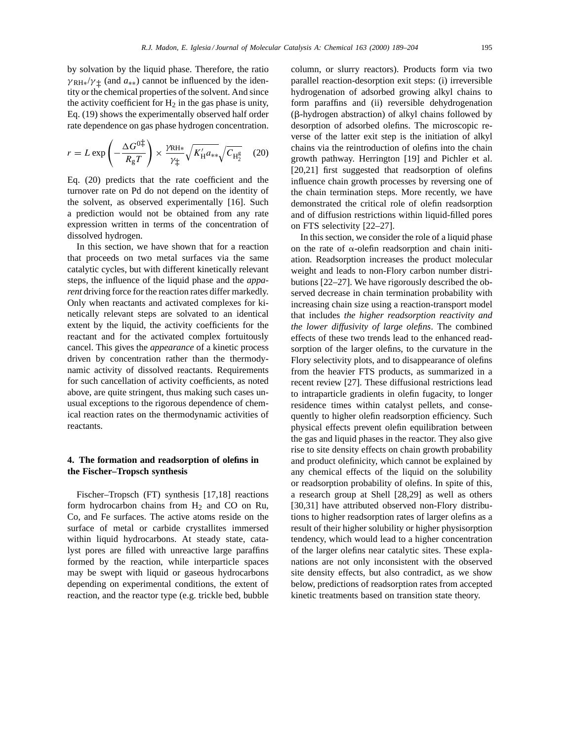by solvation by the liquid phase. Therefore, the ratio  $\gamma_{\text{RH}*}/\gamma_{\uparrow}$  (and  $a_{**}$ ) cannot be influenced by the identity or the chemical properties of the solvent. And since the activity coefficient for  $H_2$  in the gas phase is unity, Eq. (19) shows the experimentally observed half order rate dependence on gas phase hydrogen concentration.

$$
r = L \exp\left(-\frac{\Delta G^{0\ddagger}}{R_{\rm g}T}\right) \times \frac{\gamma_{\rm RH*}}{\gamma_{\ddagger}^*} \sqrt{K_{\rm H}' a_{\rm H} a_{\rm H}^2} \sqrt{C_{\rm H_2^g}}
$$
(20)

Eq. (20) predicts that the rate coefficient and the turnover rate on Pd do not depend on the identity of the solvent, as observed experimentally [16]. Such a prediction would not be obtained from any rate expression written in terms of the concentration of dissolved hydrogen.

In this section, we have shown that for a reaction that proceeds on two metal surfaces via the same catalytic cycles, but with different kinetically relevant steps, the influence of the liquid phase and the *apparent* driving force for the reaction rates differ markedly. Only when reactants and activated complexes for kinetically relevant steps are solvated to an identical extent by the liquid, the activity coefficients for the reactant and for the activated complex fortuitously cancel. This gives the *appearance* of a kinetic process driven by concentration rather than the thermodynamic activity of dissolved reactants. Requirements for such cancellation of activity coefficients, as noted above, are quite stringent, thus making such cases unusual exceptions to the rigorous dependence of chemical reaction rates on the thermodynamic activities of reactants.

## **4. The formation and readsorption of olefins in the Fischer–Tropsch synthesis**

Fischer–Tropsch (FT) synthesis [17,18] reactions form hydrocarbon chains from  $H_2$  and CO on Ru, Co, and Fe surfaces. The active atoms reside on the surface of metal or carbide crystallites immersed within liquid hydrocarbons. At steady state, catalyst pores are filled with unreactive large paraffins formed by the reaction, while interparticle spaces may be swept with liquid or gaseous hydrocarbons depending on experimental conditions, the extent of reaction, and the reactor type (e.g. trickle bed, bubble column, or slurry reactors). Products form via two parallel reaction-desorption exit steps: (i) irreversible hydrogenation of adsorbed growing alkyl chains to form paraffins and (ii) reversible dehydrogenation  $(\beta$ -hydrogen abstraction) of alkyl chains followed by desorption of adsorbed olefins. The microscopic reverse of the latter exit step is the initiation of alkyl chains via the reintroduction of olefins into the chain growth pathway. Herrington [19] and Pichler et al. [20,21] first suggested that readsorption of olefins influence chain growth processes by reversing one of the chain termination steps. More recently, we have demonstrated the critical role of olefin readsorption and of diffusion restrictions within liquid-filled pores on FTS selectivity [22–27].

In this section, we consider the role of a liquid phase on the rate of  $\alpha$ -olefin readsorption and chain initiation. Readsorption increases the product molecular weight and leads to non-Flory carbon number distributions [22–27]. We have rigorously described the observed decrease in chain termination probability with increasing chain size using a reaction-transport model that includes *the higher readsorption reactivity and the lower diffusivity of large olefins*. The combined effects of these two trends lead to the enhanced readsorption of the larger olefins, to the curvature in the Flory selectivity plots, and to disappearance of olefins from the heavier FTS products, as summarized in a recent review [27]. These diffusional restrictions lead to intraparticle gradients in olefin fugacity, to longer residence times within catalyst pellets, and consequently to higher olefin readsorption efficiency. Such physical effects prevent olefin equilibration between the gas and liquid phases in the reactor. They also give rise to site density effects on chain growth probability and product olefinicity, which cannot be explained by any chemical effects of the liquid on the solubility or readsorption probability of olefins. In spite of this, a research group at Shell [28,29] as well as others [30,31] have attributed observed non-Flory distributions to higher readsorption rates of larger olefins as a result of their higher solubility or higher physisorption tendency, which would lead to a higher concentration of the larger olefins near catalytic sites. These explanations are not only inconsistent with the observed site density effects, but also contradict, as we show below, predictions of readsorption rates from accepted kinetic treatments based on transition state theory.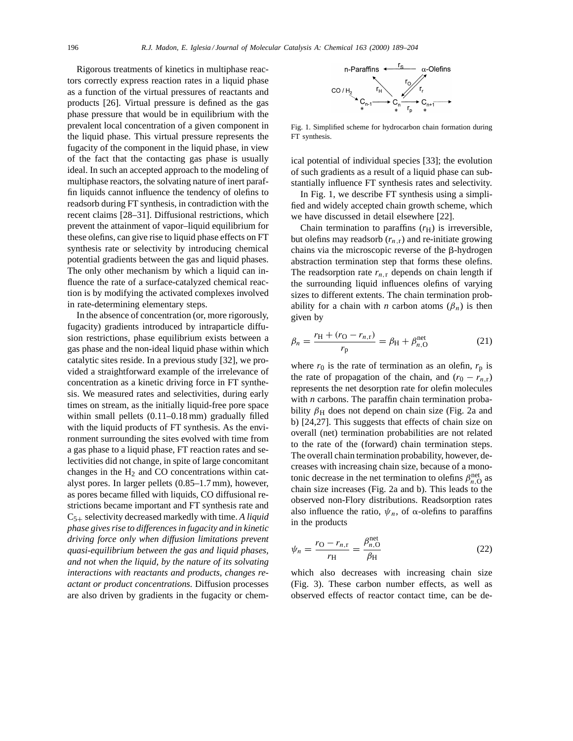Rigorous treatments of kinetics in multiphase reactors correctly express reaction rates in a liquid phase as a function of the virtual pressures of reactants and products [26]. Virtual pressure is defined as the gas phase pressure that would be in equilibrium with the prevalent local concentration of a given component in the liquid phase. This virtual pressure represents the fugacity of the component in the liquid phase, in view of the fact that the contacting gas phase is usually ideal. In such an accepted approach to the modeling of multiphase reactors, the solvating nature of inert paraffin liquids cannot influence the tendency of olefins to readsorb during FT synthesis, in contradiction with the recent claims [28–31]. Diffusional restrictions, which prevent the attainment of vapor–liquid equilibrium for these olefins, can give rise to liquid phase effects on FT synthesis rate or selectivity by introducing chemical potential gradients between the gas and liquid phases. The only other mechanism by which a liquid can influence the rate of a surface-catalyzed chemical reaction is by modifying the activated complexes involved in rate-determining elementary steps.

In the absence of concentration (or, more rigorously, fugacity) gradients introduced by intraparticle diffusion restrictions, phase equilibrium exists between a gas phase and the non-ideal liquid phase within which catalytic sites reside. In a previous study [32], we provided a straightforward example of the irrelevance of concentration as a kinetic driving force in FT synthesis. We measured rates and selectivities, during early times on stream, as the initially liquid-free pore space within small pellets (0.11–0.18 mm) gradually filled with the liquid products of FT synthesis. As the environment surrounding the sites evolved with time from a gas phase to a liquid phase, FT reaction rates and selectivities did not change, in spite of large concomitant changes in the  $H_2$  and CO concentrations within catalyst pores. In larger pellets (0.85–1.7 mm), however, as pores became filled with liquids, CO diffusional restrictions became important and FT synthesis rate and C5<sup>+</sup> selectivity decreased markedly with time. *A liquid phase gives rise to differences in fugacity and in kinetic driving force only when diffusion limitations prevent quasi-equilibrium between the gas and liquid phases, and not when the liquid, by the nature of its solvating interactions with reactants and products, changes reactant or product concentrations.* Diffusion processes are also driven by gradients in the fugacity or chem-



Fig. 1. Simplified scheme for hydrocarbon chain formation during FT synthesis.

ical potential of individual species [33]; the evolution of such gradients as a result of a liquid phase can substantially influence FT synthesis rates and selectivity.

In Fig. 1, we describe FT synthesis using a simplified and widely accepted chain growth scheme, which we have discussed in detail elsewhere [22].

Chain termination to paraffins  $(r<sub>H</sub>)$  is irreversible, but olefins may readsorb  $(r_{n,r})$  and re-initiate growing chains via the microscopic reverse of the  $\beta$ -hydrogen abstraction termination step that forms these olefins. The readsorption rate  $r_{n,r}$  depends on chain length if the surrounding liquid influences olefins of varying sizes to different extents. The chain termination probability for a chain with *n* carbon atoms  $(\beta_n)$  is then given by

$$
\beta_n = \frac{r_H + (r_O - r_{n,r})}{r_p} = \beta_H + \beta_{n,O}^{\text{net}} \tag{21}
$$

where  $r_0$  is the rate of termination as an olefin,  $r_p$  is the rate of propagation of the chain, and  $(r_0 - r_{n,r})$ represents the net desorption rate for olefin molecules with *n* carbons. The paraffin chain termination probability  $\beta$ H does not depend on chain size (Fig. 2a and b) [24,27]. This suggests that effects of chain size on overall (net) termination probabilities are not related to the rate of the (forward) chain termination steps. The overall chain termination probability, however, decreases with increasing chain size, because of a monotonic decrease in the net termination to olefins  $\beta_{n,O}^{\text{net}}$  as chain size increases (Fig. 2a and b). This leads to the observed non-Flory distributions. Readsorption rates also influence the ratio,  $\psi_n$ , of  $\alpha$ -olefins to paraffins in the products

$$
\psi_n = \frac{r_{\rm O} - r_{n,\rm r}}{r_{\rm H}} = \frac{\beta_{n,\rm O}^{\rm net}}{\beta_{\rm H}}
$$
\n(22)

which also decreases with increasing chain size (Fig. 3). These carbon number effects, as well as observed effects of reactor contact time, can be de-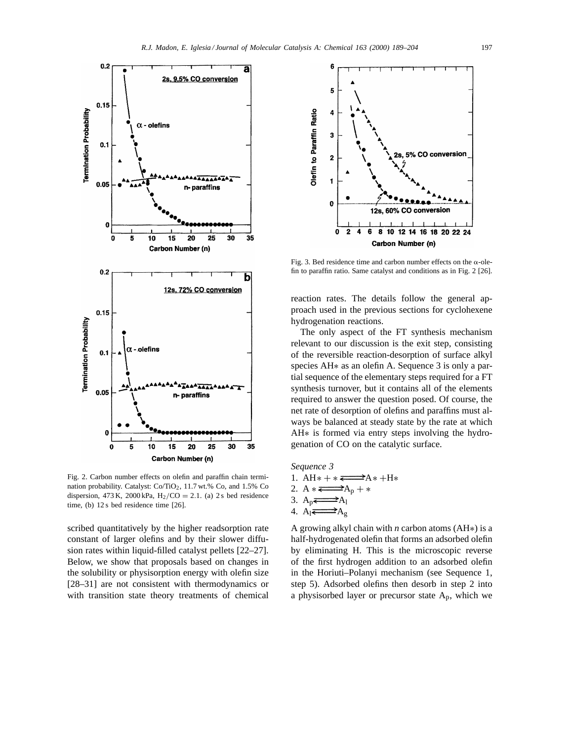

Fig. 2. Carbon number effects on olefin and paraffin chain termination probability. Catalyst: Co/TiO<sub>2</sub>, 11.7 wt.% Co, and 1.5% Co dispersion, 473 K, 2000 kPa,  $H_2/CO = 2.1$ . (a) 2 s bed residence time, (b) 12 s bed residence time [26].

scribed quantitatively by the higher readsorption rate constant of larger olefins and by their slower diffusion rates within liquid-filled catalyst pellets [22–27]. Below, we show that proposals based on changes in the solubility or physisorption energy with olefin size [28–31] are not consistent with thermodynamics or with transition state theory treatments of chemical



Fig. 3. Bed residence time and carbon number effects on the  $\alpha$ -olefin to paraffin ratio. Same catalyst and conditions as in Fig. 2 [26].

reaction rates. The details follow the general approach used in the previous sections for cyclohexene hydrogenation reactions.

The only aspect of the FT synthesis mechanism relevant to our discussion is the exit step, consisting of the reversible reaction-desorption of surface alkyl species AH∗ as an olefin A. Sequence 3 is only a partial sequence of the elementary steps required for a FT synthesis turnover, but it contains all of the elements required to answer the question posed. Of course, the net rate of desorption of olefins and paraffins must always be balanced at steady state by the rate at which AH∗ is formed via entry steps involving the hydrogenation of CO on the catalytic surface.

*Sequence 3*

1.  $AH*+*\rightleftarrows A*+H*$ 2.  $A \ast \Longleftrightarrow A_p + \ast$ 3.  $A_p \rightleftarrows A_1$ 4.  $A_1 \rightleftarrows A_\sigma$ 

A growing alkyl chain with *n* carbon atoms (AH∗) is a half-hydrogenated olefin that forms an adsorbed olefin by eliminating H. This is the microscopic reverse of the first hydrogen addition to an adsorbed olefin in the Horiuti–Polanyi mechanism (see Sequence 1, step 5). Adsorbed olefins then desorb in step 2 into a physisorbed layer or precursor state  $A_p$ , which we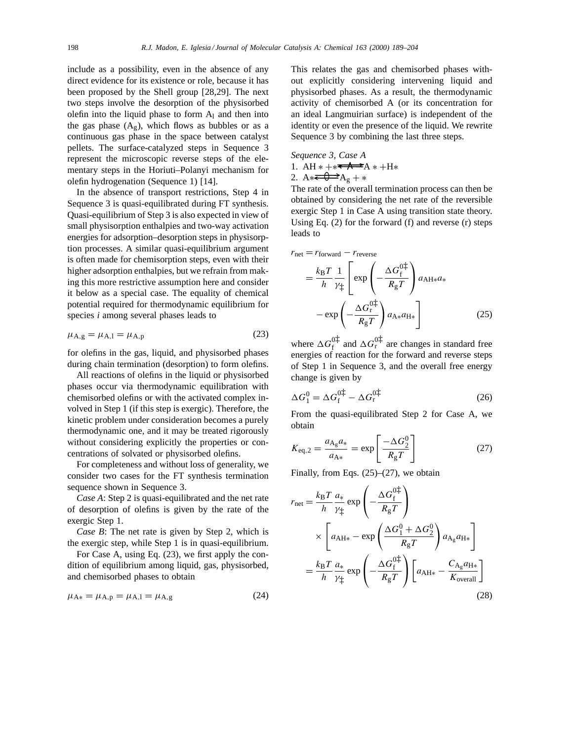include as a possibility, even in the absence of any direct evidence for its existence or role, because it has been proposed by the Shell group [28,29]. The next two steps involve the desorption of the physisorbed olefin into the liquid phase to form  $A_1$  and then into the gas phase  $(A_g)$ , which flows as bubbles or as a continuous gas phase in the space between catalyst pellets. The surface-catalyzed steps in Sequence 3 represent the microscopic reverse steps of the elementary steps in the Horiuti–Polanyi mechanism for olefin hydrogenation (Sequence 1) [14].

In the absence of transport restrictions, Step 4 in Sequence 3 is quasi-equilibrated during FT synthesis. Quasi-equilibrium of Step 3 is also expected in view of small physisorption enthalpies and two-way activation energies for adsorption–desorption steps in physisorption processes. A similar quasi-equilibrium argument is often made for chemisorption steps, even with their higher adsorption enthalpies, but we refrain from making this more restrictive assumption here and consider it below as a special case. The equality of chemical potential required for thermodynamic equilibrium for species *i* among several phases leads to

$$
\mu_{A,g} = \mu_{A,1} = \mu_{A,p} \tag{23}
$$

for olefins in the gas, liquid, and physisorbed phases during chain termination (desorption) to form olefins.

All reactions of olefins in the liquid or physisorbed phases occur via thermodynamic equilibration with chemisorbed olefins or with the activated complex involved in Step 1 (if this step is exergic). Therefore, the kinetic problem under consideration becomes a purely thermodynamic one, and it may be treated rigorously without considering explicitly the properties or concentrations of solvated or physisorbed olefins.

For completeness and without loss of generality, we consider two cases for the FT synthesis termination sequence shown in Sequence 3.

*Case A*: Step 2 is quasi-equilibrated and the net rate of desorption of olefins is given by the rate of the exergic Step 1.

*Case B*: The net rate is given by Step 2, which is the exergic step, while Step 1 is in quasi-equilibrium.

For Case A, using Eq. (23), we first apply the condition of equilibrium among liquid, gas, physisorbed, and chemisorbed phases to obtain

$$
\mu_{A*} = \mu_{A,p} = \mu_{A,1} = \mu_{A,g} \tag{24}
$$

This relates the gas and chemisorbed phases without explicitly considering intervening liquid and physisorbed phases. As a result, the thermodynamic activity of chemisorbed A (or its concentration for an ideal Langmuirian surface) is independent of the identity or even the presence of the liquid. We rewrite Sequence 3 by combining the last three steps.

Sequence 3, Case A  
1. AH \* +
$$
*^*
$$
 A \* +H\*  
2. A\* $\overbrace{+^*}$  A<sub>g</sub> + \*

The rate of the overall termination process can then be obtained by considering the net rate of the reversible exergic Step 1 in Case A using transition state theory. Using Eq.  $(2)$  for the forward  $(f)$  and reverse  $(r)$  steps leads to

$$
r_{\text{net}} = r_{\text{forward}} - r_{\text{reverse}}
$$
  
=  $\frac{k_{\text{B}}T}{h} \frac{1}{\gamma_{\ddagger}} \left[ \exp\left( -\frac{\Delta G_{\text{f}}^{0\ddagger}}{R_{\text{g}}T} \right) a_{\text{AH}*} a_{*} - \exp\left( -\frac{\Delta G_{\text{r}}^{0\ddagger}}{R_{\text{g}}T} \right) a_{\text{A}*} a_{\text{H}*} \right]$  (25)

where  $\Delta G_{\text{f}}^{0\ddagger}$  and  $\Delta G_{\text{r}}^{0\ddagger}$  are changes in standard free energies of reaction for the forward and reverse steps of Step 1 in Sequence 3, and the overall free energy change is given by

$$
\Delta G_1^0 = \Delta G_f^{0\ddagger} - \Delta G_r^{0\ddagger} \tag{26}
$$

From the quasi-equilibrated Step 2 for Case A, we obtain

$$
K_{\text{eq},2} = \frac{a_{\text{A}_{\text{g}}} a_{*}}{a_{\text{A}*}} = \exp\left[\frac{-\Delta G_{2}^{0}}{R_{\text{g}} T}\right] \tag{27}
$$

Finally, from Eqs. (25)–(27), we obtain

$$
r_{\text{net}} = \frac{k_{\text{B}}T}{h} \frac{a_{*}}{\gamma_{*}^{+}} \exp\left(-\frac{\Delta G_{\text{f}}^{0\ddagger}}{R_{\text{g}}T}\right)
$$

$$
\times \left[a_{\text{AH}*} - \exp\left(\frac{\Delta G_{\text{I}}^{0} + \Delta G_{\text{2}}^{0}}{R_{\text{g}}T}\right) a_{\text{A}_{\text{g}}} a_{\text{H}*}\right]
$$

$$
= \frac{k_{\text{B}}T}{h} \frac{a_{*}}{\gamma_{*}^{+}} \exp\left(-\frac{\Delta G_{\text{f}}^{0\ddagger}}{R_{\text{g}}T}\right) \left[a_{\text{AH}*} - \frac{C_{\text{A}_{\text{g}}} a_{\text{H}*}}{K_{\text{overall}}}\right]
$$
(28)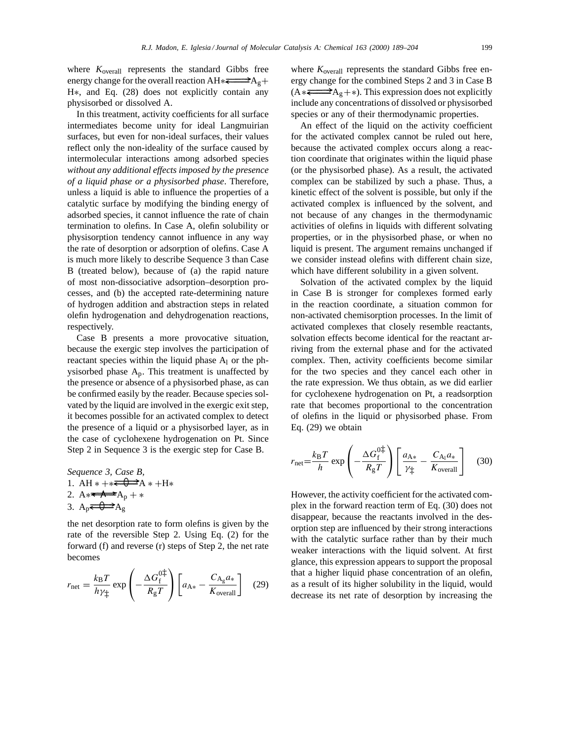where  $K_{\text{overall}}$  represents the standard Gibbs free energy change for the overall reaction AH∗ $\rightleftharpoons A_g +$ H∗, and Eq. (28) does not explicitly contain any physisorbed or dissolved A.

In this treatment, activity coefficients for all surface intermediates become unity for ideal Langmuirian surfaces, but even for non-ideal surfaces, their values reflect only the non-ideality of the surface caused by intermolecular interactions among adsorbed species *without any additional effects imposed by the presence of a liquid phase or a physisorbed phase*. Therefore, unless a liquid is able to influence the properties of a catalytic surface by modifying the binding energy of adsorbed species, it cannot influence the rate of chain termination to olefins. In Case A, olefin solubility or physisorption tendency cannot influence in any way the rate of desorption or adsorption of olefins. Case A is much more likely to describe Sequence 3 than Case B (treated below), because of (a) the rapid nature of most non-dissociative adsorption–desorption processes, and (b) the accepted rate-determining nature of hydrogen addition and abstraction steps in related olefin hydrogenation and dehydrogenation reactions, respectively.

Case B presents a more provocative situation, because the exergic step involves the participation of reactant species within the liquid phase  $A<sub>1</sub>$  or the physisorbed phase Ap. This treatment is unaffected by the presence or absence of a physisorbed phase, as can be confirmed easily by the reader. Because species solvated by the liquid are involved in the exergic exit step, it becomes possible for an activated complex to detect the presence of a liquid or a physisorbed layer, as in the case of cyclohexene hydrogenation on Pt. Since Step 2 in Sequence 3 is the exergic step for Case B.

*Sequence 3, Case B,* 1. AH  $* + * \leftarrow \bigoplus A * + H *$ 2.  $A* \leftarrow A_p + *$ 3.  $A_p \rightleftharpoons \bigoplus A_g$ 

the net desorption rate to form olefins is given by the rate of the reversible Step 2. Using Eq. (2) for the forward (f) and reverse (r) steps of Step 2, the net rate becomes

$$
r_{\text{net}} = \frac{k_{\text{B}}T}{h\gamma_{\ddagger}} \exp\left(-\frac{\Delta G_{\text{f}}^{0\ddagger}}{R_{\text{g}}T}\right) \left[a_{\text{A}*} - \frac{C_{\text{A}_{\text{g}}}a_{*}}{K_{\text{overall}}}\right]
$$
 (29)

where  $K_{\text{overall}}$  represents the standard Gibbs free energy change for the combined Steps 2 and 3 in Case B  $(A \ast \in A_g + \ast)$ . This expression does not explicitly include any concentrations of dissolved or physisorbed species or any of their thermodynamic properties.

An effect of the liquid on the activity coefficient for the activated complex cannot be ruled out here, because the activated complex occurs along a reaction coordinate that originates within the liquid phase (or the physisorbed phase). As a result, the activated complex can be stabilized by such a phase. Thus, a kinetic effect of the solvent is possible, but only if the activated complex is influenced by the solvent, and not because of any changes in the thermodynamic activities of olefins in liquids with different solvating properties, or in the physisorbed phase, or when no liquid is present. The argument remains unchanged if we consider instead olefins with different chain size, which have different solubility in a given solvent.

Solvation of the activated complex by the liquid in Case B is stronger for complexes formed early in the reaction coordinate, a situation common for non-activated chemisorption processes. In the limit of activated complexes that closely resemble reactants, solvation effects become identical for the reactant arriving from the external phase and for the activated complex. Then, activity coefficients become similar for the two species and they cancel each other in the rate expression. We thus obtain, as we did earlier for cyclohexene hydrogenation on Pt, a readsorption rate that becomes proportional to the concentration of olefins in the liquid or physisorbed phase. From Eq. (29) we obtain

$$
r_{\text{net}} = \frac{k_{\text{B}}T}{h} \exp\left(-\frac{\Delta G_{\text{f}}^{0\ddagger}}{R_{\text{g}}T}\right) \left[\frac{a_{\text{A}*}}{\gamma_{\ddagger}} - \frac{C_{\text{A}_1}a_{*}}{K_{\text{overall}}}\right] \quad (30)
$$

However, the activity coefficient for the activated complex in the forward reaction term of Eq. (30) does not disappear, because the reactants involved in the desorption step are influenced by their strong interactions with the catalytic surface rather than by their much weaker interactions with the liquid solvent. At first glance, this expression appears to support the proposal that a higher liquid phase concentration of an olefin, as a result of its higher solubility in the liquid, would decrease its net rate of desorption by increasing the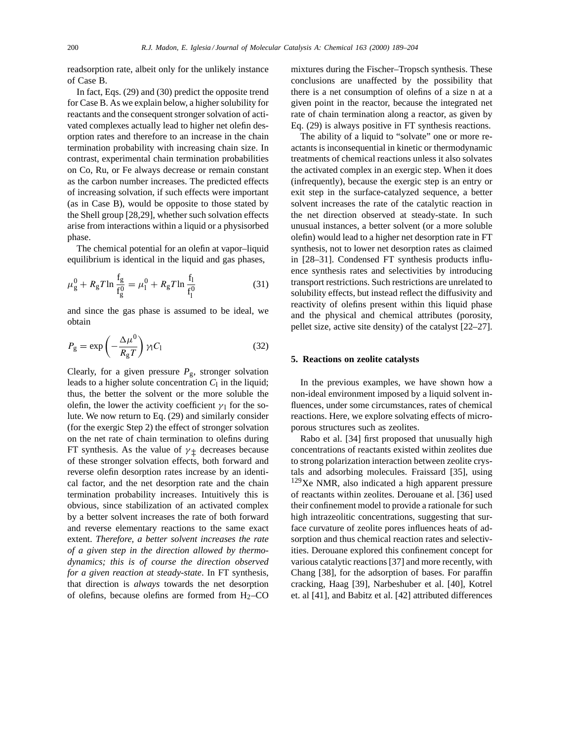readsorption rate, albeit only for the unlikely instance of Case B.

In fact, Eqs. (29) and (30) predict the opposite trend for Case B. As we explain below, a higher solubility for reactants and the consequent stronger solvation of activated complexes actually lead to higher net olefin desorption rates and therefore to an increase in the chain termination probability with increasing chain size. In contrast, experimental chain termination probabilities on Co, Ru, or Fe always decrease or remain constant as the carbon number increases. The predicted effects of increasing solvation, if such effects were important (as in Case B), would be opposite to those stated by the Shell group [28,29], whether such solvation effects arise from interactions within a liquid or a physisorbed phase.

The chemical potential for an olefin at vapor–liquid equilibrium is identical in the liquid and gas phases,

$$
\mu_{\rm g}^0 + R_{\rm g} T \ln \frac{f_{\rm g}}{f_{\rm g}^0} = \mu_{\rm l}^0 + R_{\rm g} T \ln \frac{f_{\rm l}}{f_{\rm l}^0} \tag{31}
$$

and since the gas phase is assumed to be ideal, we obtain

$$
P_{\rm g} = \exp\left(-\frac{\Delta\mu^0}{R_{\rm g}T}\right)\gamma C_1\tag{32}
$$

Clearly, for a given pressure  $P_g$ , stronger solvation leads to a higher solute concentration  $C_1$  in the liquid; thus, the better the solvent or the more soluble the olefin, the lower the activity coefficient  $\gamma_1$  for the solute. We now return to Eq. (29) and similarly consider (for the exergic Step 2) the effect of stronger solvation on the net rate of chain termination to olefins during FT synthesis. As the value of  $\gamma$   $\dagger$  decreases because of these stronger solvation effects, both forward and reverse olefin desorption rates increase by an identical factor, and the net desorption rate and the chain termination probability increases. Intuitively this is obvious, since stabilization of an activated complex by a better solvent increases the rate of both forward and reverse elementary reactions to the same exact extent. *Therefore, a better solvent increases the rate of a given step in the direction allowed by thermodynamics; this is of course the direction observed for a given reaction at steady-state*. In FT synthesis, that direction is *always* towards the net desorption of olefins, because olefins are formed from  $H_2$ –CO mixtures during the Fischer–Tropsch synthesis. These conclusions are unaffected by the possibility that there is a net consumption of olefins of a size n at a given point in the reactor, because the integrated net rate of chain termination along a reactor, as given by Eq. (29) is always positive in FT synthesis reactions.

The ability of a liquid to "solvate" one or more reactants is inconsequential in kinetic or thermodynamic treatments of chemical reactions unless it also solvates the activated complex in an exergic step. When it does (infrequently), because the exergic step is an entry or exit step in the surface-catalyzed sequence, a better solvent increases the rate of the catalytic reaction in the net direction observed at steady-state. In such unusual instances, a better solvent (or a more soluble olefin) would lead to a higher net desorption rate in FT synthesis, not to lower net desorption rates as claimed in [28–31]. Condensed FT synthesis products influence synthesis rates and selectivities by introducing transport restrictions. Such restrictions are unrelated to solubility effects, but instead reflect the diffusivity and reactivity of olefins present within this liquid phase and the physical and chemical attributes (porosity, pellet size, active site density) of the catalyst [22–27].

#### **5. Reactions on zeolite catalysts**

In the previous examples, we have shown how a non-ideal environment imposed by a liquid solvent influences, under some circumstances, rates of chemical reactions. Here, we explore solvating effects of microporous structures such as zeolites.

Rabo et al. [34] first proposed that unusually high concentrations of reactants existed within zeolites due to strong polarization interaction between zeolite crystals and adsorbing molecules. Fraissard [35], using 129Xe NMR, also indicated a high apparent pressure of reactants within zeolites. Derouane et al. [36] used their confinement model to provide a rationale for such high intrazeolitic concentrations, suggesting that surface curvature of zeolite pores influences heats of adsorption and thus chemical reaction rates and selectivities. Derouane explored this confinement concept for various catalytic reactions [37] and more recently, with Chang [38], for the adsorption of bases. For paraffin cracking, Haag [39], Narbeshuber et al. [40], Kotrel et. al [41], and Babitz et al. [42] attributed differences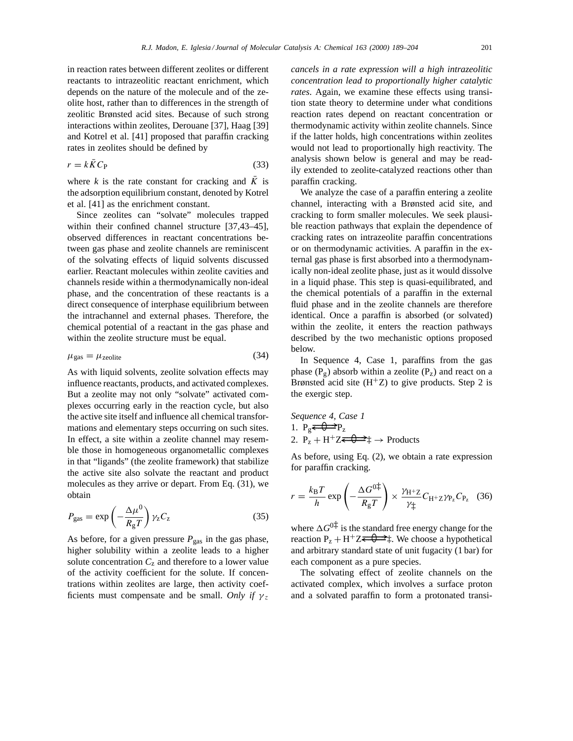in reaction rates between different zeolites or different reactants to intrazeolitic reactant enrichment, which depends on the nature of the molecule and of the zeolite host, rather than to differences in the strength of zeolitic Brønsted acid sites. Because of such strong interactions within zeolites, Derouane [37], Haag [39] and Kotrel et al. [41] proposed that paraffin cracking rates in zeolites should be defined by

$$
r = k\bar{K}C_{\rm P} \tag{33}
$$

where  $k$  is the rate constant for cracking and  $\overline{K}$  is the adsorption equilibrium constant, denoted by Kotrel et al. [41] as the enrichment constant.

Since zeolites can "solvate" molecules trapped within their confined channel structure [37,43–45], observed differences in reactant concentrations between gas phase and zeolite channels are reminiscent of the solvating effects of liquid solvents discussed earlier. Reactant molecules within zeolite cavities and channels reside within a thermodynamically non-ideal phase, and the concentration of these reactants is a direct consequence of interphase equilibrium between the intrachannel and external phases. Therefore, the chemical potential of a reactant in the gas phase and within the zeolite structure must be equal.

$$
\mu_{\text{gas}} = \mu_{\text{zeolite}} \tag{34}
$$

As with liquid solvents, zeolite solvation effects may influence reactants, products, and activated complexes. But a zeolite may not only "solvate" activated complexes occurring early in the reaction cycle, but also the active site itself and influence all chemical transformations and elementary steps occurring on such sites. In effect, a site within a zeolite channel may resemble those in homogeneous organometallic complexes in that "ligands" (the zeolite framework) that stabilize the active site also solvate the reactant and product molecules as they arrive or depart. From Eq. (31), we obtain

$$
P_{\rm gas} = \exp\left(-\frac{\Delta\mu^0}{R_{\rm g}T}\right)\gamma_{\rm z}C_{\rm z}
$$
 (35)

As before, for a given pressure  $P_{\text{gas}}$  in the gas phase, higher solubility within a zeolite leads to a higher solute concentration  $C_z$  and therefore to a lower value of the activity coefficient for the solute. If concentrations within zeolites are large, then activity coefficients must compensate and be small. *Only if*  $\gamma$ <sub>z</sub> *cancels in a rate expression will a high intrazeolitic concentration lead to proportionally higher catalytic rates*. Again, we examine these effects using transition state theory to determine under what conditions reaction rates depend on reactant concentration or thermodynamic activity within zeolite channels. Since if the latter holds, high concentrations within zeolites would not lead to proportionally high reactivity. The analysis shown below is general and may be readily extended to zeolite-catalyzed reactions other than paraffin cracking.

We analyze the case of a paraffin entering a zeolite channel, interacting with a Brønsted acid site, and cracking to form smaller molecules. We seek plausible reaction pathways that explain the dependence of cracking rates on intrazeolite paraffin concentrations or on thermodynamic activities. A paraffin in the external gas phase is first absorbed into a thermodynamically non-ideal zeolite phase, just as it would dissolve in a liquid phase. This step is quasi-equilibrated, and the chemical potentials of a paraffin in the external fluid phase and in the zeolite channels are therefore identical. Once a paraffin is absorbed (or solvated) within the zeolite, it enters the reaction pathways described by the two mechanistic options proposed below.

In Sequence 4, Case 1, paraffins from the gas phase  $(P_g)$  absorb within a zeolite  $(P_z)$  and react on a Brønsted acid site  $(H^+Z)$  to give products. Step 2 is the exergic step.

Sequence 4, Case 1  
1. 
$$
P_g \xleftarrow{Q \to P_z} P_z
$$
  
2.  $P_z + H^+ Z \xleftarrow{Q \to z} \Rightarrow$  Products

As before, using Eq. (2), we obtain a rate expression for paraffin cracking.

$$
r = \frac{k_{\rm B}T}{h} \exp\left(-\frac{\Delta G^{0\ddagger}_{\star}}{R_{\rm g}T}\right) \times \frac{\gamma_{\rm H^{+}Z}}{\gamma_{\ddagger}^*} C_{\rm H^{+}Z} \gamma_{\rm P_{z}} C_{\rm P_{z}} \quad (36)
$$

where  $\Delta G^{0,\ddagger}$  is the standard free energy change for the reaction  $P_z + H^+Z \leftarrow \bigoplus \rightarrow \dagger$ . We choose a hypothetical and arbitrary standard state of unit fugacity (1 bar) for each component as a pure species.

The solvating effect of zeolite channels on the activated complex, which involves a surface proton and a solvated paraffin to form a protonated transi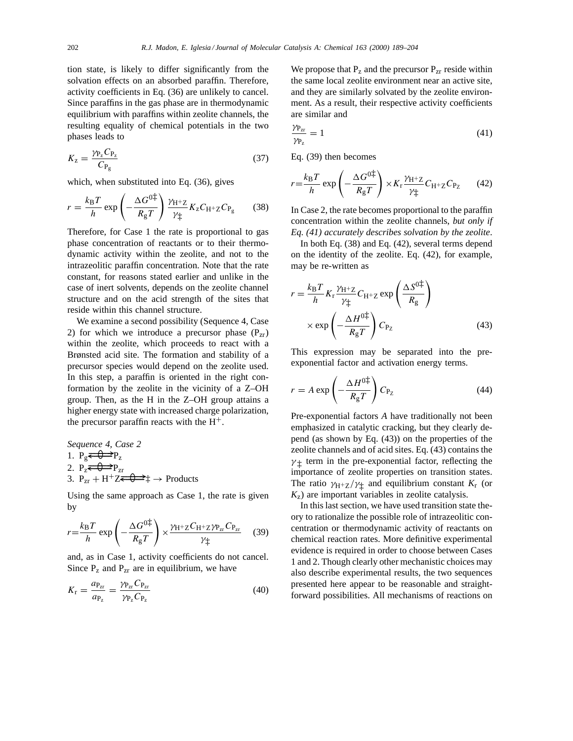tion state, is likely to differ significantly from the solvation effects on an absorbed paraffin. Therefore, activity coefficients in Eq. (36) are unlikely to cancel. Since paraffins in the gas phase are in thermodynamic equilibrium with paraffins within zeolite channels, the resulting equality of chemical potentials in the two phases leads to

$$
K_{z} = \frac{\gamma_{\mathcal{P}_{z}} C_{\mathcal{P}_{z}}}{C_{\mathcal{P}_{g}}}
$$
\n(37)

which, when substituted into Eq. (36), gives

$$
r = \frac{k_{\rm B}T}{h} \exp\left(-\frac{\Delta G^{0\ddagger}_{\star}}{R_{\rm g}T}\right) \frac{\gamma_{\rm H}+Z}{\gamma_{\ddagger}} K_{\rm z} C_{\rm H}+{}_{\rm Z}C_{\rm P_{\rm g}} \qquad (38)
$$

Therefore, for Case 1 the rate is proportional to gas phase concentration of reactants or to their thermodynamic activity within the zeolite, and not to the intrazeolitic paraffin concentration. Note that the rate constant, for reasons stated earlier and unlike in the case of inert solvents, depends on the zeolite channel structure and on the acid strength of the sites that reside within this channel structure.

We examine a second possibility (Sequence 4, Case 2) for which we introduce a precursor phase  $(P_{\alpha})$ within the zeolite, which proceeds to react with a Brønsted acid site. The formation and stability of a precursor species would depend on the zeolite used. In this step, a paraffin is oriented in the right conformation by the zeolite in the vicinity of a Z–OH group. Then, as the H in the Z–OH group attains a higher energy state with increased charge polarization, the precursor paraffin reacts with the  $H^+$ .

Sequence 4, Case 2  
1. 
$$
P_g \xleftarrow{\bigoplus} P_Z
$$
  
2.  $P_Z \xleftarrow{\bigoplus} P_{ZT}$   
3.  $P_{ZT} + H^+ Z \xleftarrow{\bigoplus} \uparrow \downarrow \rightarrow$  Products

Using the same approach as Case 1, the rate is given by

$$
r = \frac{k_{\rm B}T}{h} \exp\left(-\frac{\Delta G^{0\frac{1}{4}}}{R_{\rm g}T}\right) \times \frac{\gamma_{\rm H^+Z}C_{\rm H^+Z}\gamma_{\rm P_{\rm z}}C_{\rm P_{\rm z}}}{\gamma_{\rm \ddagger}}\tag{39}
$$

and, as in Case 1, activity coefficients do not cancel. Since  $P_z$  and  $P_{zr}$  are in equilibrium, we have

$$
K_{\rm r} = \frac{a_{\rm P_{\rm zr}}}{a_{\rm P_{\rm z}}} = \frac{\gamma_{\rm P_{\rm zr}} C_{\rm P_{\rm zr}}}{\gamma_{\rm P_{\rm z}} C_{\rm P_{\rm z}}}
$$
(40)

We propose that  $P_z$  and the precursor  $P_{zr}$  reside within the same local zeolite environment near an active site, and they are similarly solvated by the zeolite environment. As a result, their respective activity coefficients are similar and

$$
\frac{\gamma P_{zr}}{\gamma P_z} = 1\tag{41}
$$

Eq. (39) then becomes

$$
r = \frac{k_{\rm B}T}{h} \exp\left(-\frac{\Delta G^{0\ddagger}_{+}}{R_{\rm g}T}\right) \times K_{\rm r} \frac{\gamma_{\rm H^{+}Z}}{\gamma_{+}^*} C_{\rm H^{+}Z} C_{\rm PZ} \qquad (42)
$$

In Case 2, the rate becomes proportional to the paraffin concentration within the zeolite channels, *but only if Eq. (41) accurately describes solvation by the zeolite*.

In both Eq. (38) and Eq. (42), several terms depend on the identity of the zeolite. Eq. (42), for example, may be re-written as

$$
r = \frac{k_{\rm B}T}{h} K_{\rm r} \frac{\gamma_{\rm H^{+}Z}}{\gamma_{\ddagger}^*} C_{\rm H^{+}Z} \exp\left(\frac{\Delta S^{0\ddagger}_{\ast}}{R_{\rm g}}\right)
$$

$$
\times \exp\left(-\frac{\Delta H^{0\ddagger}_{\ast}}{R_{\rm g}T}\right) C_{\rm P_Z} \tag{43}
$$

This expression may be separated into the preexponential factor and activation energy terms.

$$
r = A \exp\left(-\frac{\Delta H^{0\frac{1}{4}}}{R_{g}T}\right) C_{\text{PZ}} \tag{44}
$$

Pre-exponential factors *A* have traditionally not been emphasized in catalytic cracking, but they clearly depend (as shown by Eq. (43)) on the properties of the zeolite channels and of acid sites. Eq. (43) contains the  $\gamma$   $\dagger$  term in the pre-exponential factor, reflecting the importance of zeolite properties on transition states. The ratio  $\gamma_{H+Z}/\gamma_{\uparrow}$  and equilibrium constant  $K_{r}$  (or  $K_z$ ) are important variables in zeolite catalysis.

In this last section, we have used transition state theory to rationalize the possible role of intrazeolitic concentration or thermodynamic activity of reactants on chemical reaction rates. More definitive experimental evidence is required in order to choose between Cases 1 and 2. Though clearly other mechanistic choices may also describe experimental results, the two sequences presented here appear to be reasonable and straightforward possibilities. All mechanisms of reactions on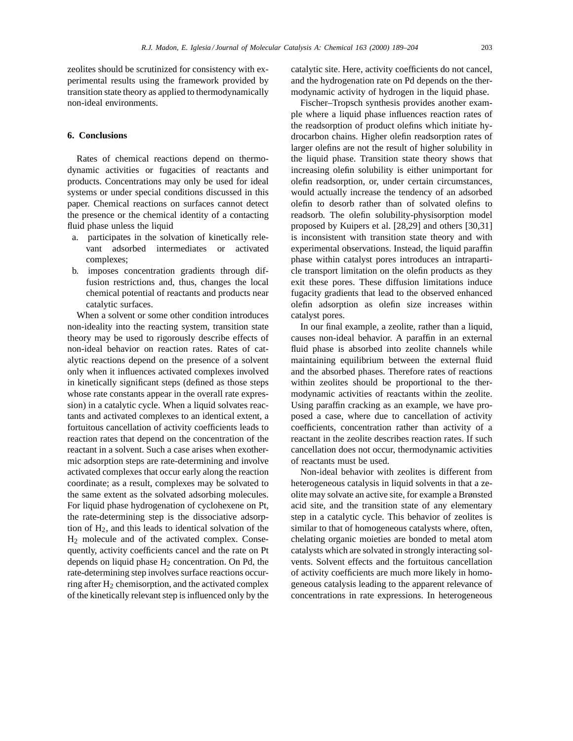zeolites should be scrutinized for consistency with experimental results using the framework provided by transition state theory as applied to thermodynamically non-ideal environments.

#### **6. Conclusions**

Rates of chemical reactions depend on thermodynamic activities or fugacities of reactants and products. Concentrations may only be used for ideal systems or under special conditions discussed in this paper. Chemical reactions on surfaces cannot detect the presence or the chemical identity of a contacting fluid phase unless the liquid

- a. participates in the solvation of kinetically relevant adsorbed intermediates or activated complexes;
- b. imposes concentration gradients through diffusion restrictions and, thus, changes the local chemical potential of reactants and products near catalytic surfaces.

When a solvent or some other condition introduces non-ideality into the reacting system, transition state theory may be used to rigorously describe effects of non-ideal behavior on reaction rates. Rates of catalytic reactions depend on the presence of a solvent only when it influences activated complexes involved in kinetically significant steps (defined as those steps whose rate constants appear in the overall rate expression) in a catalytic cycle. When a liquid solvates reactants and activated complexes to an identical extent, a fortuitous cancellation of activity coefficients leads to reaction rates that depend on the concentration of the reactant in a solvent. Such a case arises when exothermic adsorption steps are rate-determining and involve activated complexes that occur early along the reaction coordinate; as a result, complexes may be solvated to the same extent as the solvated adsorbing molecules. For liquid phase hydrogenation of cyclohexene on Pt, the rate-determining step is the dissociative adsorption of H2, and this leads to identical solvation of the H2 molecule and of the activated complex. Consequently, activity coefficients cancel and the rate on Pt depends on liquid phase  $H_2$  concentration. On Pd, the rate-determining step involves surface reactions occurring after  $H_2$  chemisorption, and the activated complex of the kinetically relevant step is influenced only by the catalytic site. Here, activity coefficients do not cancel, and the hydrogenation rate on Pd depends on the thermodynamic activity of hydrogen in the liquid phase.

Fischer–Tropsch synthesis provides another example where a liquid phase influences reaction rates of the readsorption of product olefins which initiate hydrocarbon chains. Higher olefin readsorption rates of larger olefins are not the result of higher solubility in the liquid phase. Transition state theory shows that increasing olefin solubility is either unimportant for olefin readsorption, or, under certain circumstances, would actually increase the tendency of an adsorbed olefin to desorb rather than of solvated olefins to readsorb. The olefin solubility-physisorption model proposed by Kuipers et al. [28,29] and others [30,31] is inconsistent with transition state theory and with experimental observations. Instead, the liquid paraffin phase within catalyst pores introduces an intraparticle transport limitation on the olefin products as they exit these pores. These diffusion limitations induce fugacity gradients that lead to the observed enhanced olefin adsorption as olefin size increases within catalyst pores.

In our final example, a zeolite, rather than a liquid, causes non-ideal behavior. A paraffin in an external fluid phase is absorbed into zeolite channels while maintaining equilibrium between the external fluid and the absorbed phases. Therefore rates of reactions within zeolites should be proportional to the thermodynamic activities of reactants within the zeolite. Using paraffin cracking as an example, we have proposed a case, where due to cancellation of activity coefficients, concentration rather than activity of a reactant in the zeolite describes reaction rates. If such cancellation does not occur, thermodynamic activities of reactants must be used.

Non-ideal behavior with zeolites is different from heterogeneous catalysis in liquid solvents in that a zeolite may solvate an active site, for example a Brønsted acid site, and the transition state of any elementary step in a catalytic cycle. This behavior of zeolites is similar to that of homogeneous catalysts where, often, chelating organic moieties are bonded to metal atom catalysts which are solvated in strongly interacting solvents. Solvent effects and the fortuitous cancellation of activity coefficients are much more likely in homogeneous catalysis leading to the apparent relevance of concentrations in rate expressions. In heterogeneous